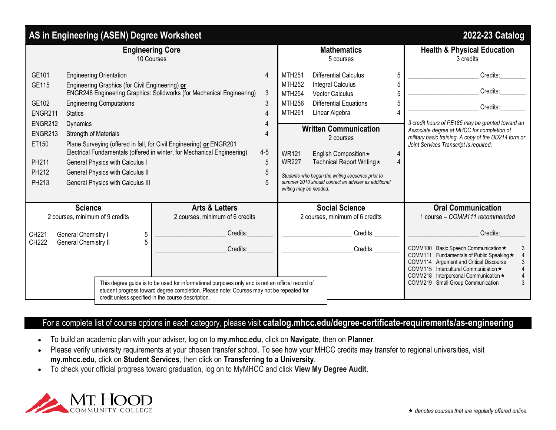|                                                                                                                                                                                                                                                                                                                                                                                                                                                                                                  | 2022-23 Catalog                                                                                                                                                                                                                                                                                                                          |
|--------------------------------------------------------------------------------------------------------------------------------------------------------------------------------------------------------------------------------------------------------------------------------------------------------------------------------------------------------------------------------------------------------------------------------------------------------------------------------------------------|------------------------------------------------------------------------------------------------------------------------------------------------------------------------------------------------------------------------------------------------------------------------------------------------------------------------------------------|
| <b>Mathematics</b><br>5 courses                                                                                                                                                                                                                                                                                                                                                                                                                                                                  | <b>Health &amp; Physical Education</b><br>3 credits                                                                                                                                                                                                                                                                                      |
| <b>Differential Calculus</b><br><b>MTH251</b><br>5<br><b>MTH252</b><br><b>Integral Calculus</b><br><b>MTH254</b><br><b>Vector Calculus</b><br><b>MTH256</b><br>Differential Equations<br><b>MTH261</b><br>Linear Algebra<br><b>Written Communication</b><br>2 courses<br><b>WR121</b><br>English Composition*<br><b>WR227</b><br>Technical Report Writing ★<br>Students who began the writing sequence prior to<br>summer 2010 should contact an adviser as additional<br>writing may be needed. | Credits:<br>Credits:<br>Credits:<br>3 credit hours of PE185 may be granted toward an<br>Associate degree at MHCC for completion of<br>military basic training. A copy of the DD214 form or<br>Joint Services Transcript is required.                                                                                                     |
| <b>Social Science</b><br>2 courses, minimum of 6 credits<br>Credits:<br>Credits:<br>This degree guide is to be used for informational purposes only and is not an official record of                                                                                                                                                                                                                                                                                                             | <b>Oral Communication</b><br>1 course - COMM111 recommended<br>Credits:<br>COMM100 Basic Speech Communication ★<br>3<br>COMM111 Fundamentals of Public Speaking ★<br>COMM114 Argument and Critical Discourse<br>COMM115 Intercultural Communication ★<br>COMM218 Interpersonal Communication ★<br>COMM219 Small Group Communication<br>3 |
|                                                                                                                                                                                                                                                                                                                                                                                                                                                                                                  | student progress toward degree completion. Please note: Courses may not be repeated for                                                                                                                                                                                                                                                  |

## For a complete list of course options in each category, please visit **catalog.mhcc.edu/degree-certificate-requirements/as-engineering**

- To build an academic plan with your adviser, log on to **my.mhcc.edu**, click on **Navigate**, then on **Planner**.
- Please verify university requirements at your chosen transfer school. To see how your MHCC credits may transfer to regional universities, visit **my.mhcc.edu**, click on **Student Services**, then click on **Transferring to a University**.
- To check your official progress toward graduation, log on to MyMHCC and click **View My Degree Audit**.